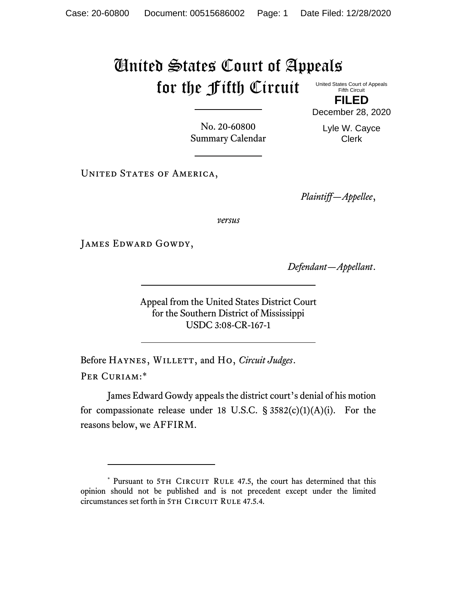## United States Court of Appeals for the Fifth Circuit

United States Court of Appeals Fifth Circuit

**FILED** December 28, 2020

No. 20-60800 Summary Calendar Lyle W. Cayce Clerk

UNITED STATES OF AMERICA,

*Plaintiff—Appellee*,

*versus*

JAMES EDWARD GOWDY,

*Defendant—Appellant*.

Appeal from the United States District Court for the Southern District of Mississippi USDC 3:08-CR-167-1

Before HAYNES, WILLETT, and Ho, *Circuit Judges*. Per Curiam:\*

James Edward Gowdy appeals the district court's denial of his motion for compassionate release under 18 U.S.C.  $\S$  3582(c)(1)(A)(i). For the reasons below, we AFFIRM.

<sup>\*</sup> Pursuant to 5TH CIRCUIT RULE 47.5, the court has determined that this opinion should not be published and is not precedent except under the limited circumstances set forth in 5TH CIRCUIT RULE 47.5.4.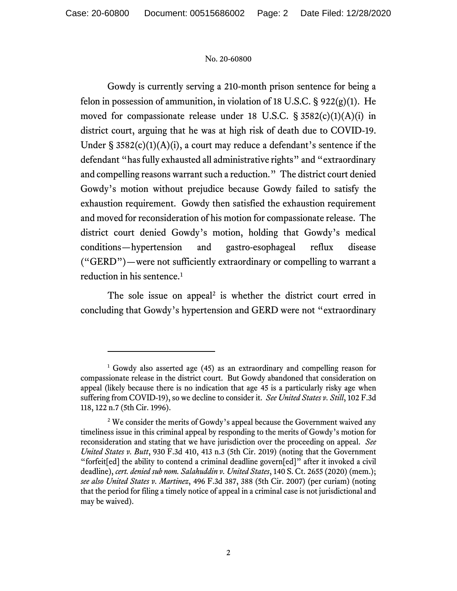## No. 20-60800

Gowdy is currently serving a 210-month prison sentence for being a felon in possession of ammunition, in violation of 18 U.S.C.  $\S$  922(g)(1). He moved for compassionate release under 18 U.S.C. § 3582(c)(1)(A)(i) in district court, arguing that he was at high risk of death due to COVID-19. Under §  $3582(c)(1)(A)(i)$ , a court may reduce a defendant's sentence if the defendant "has fully exhausted all administrative rights" and "extraordinary and compelling reasons warrant such a reduction." The district court denied Gowdy's motion without prejudice because Gowdy failed to satisfy the exhaustion requirement. Gowdy then satisfied the exhaustion requirement and moved for reconsideration of his motion for compassionate release. The district court denied Gowdy's motion, holding that Gowdy's medical conditions—hypertension and gastro-esophageal reflux disease ("GERD")—were not sufficiently extraordinary or compelling to warrant a reduction in his sentence.<sup>1</sup>

The sole issue on appeal<sup>2</sup> is whether the district court erred in concluding that Gowdy's hypertension and GERD were not "extraordinary

<sup>1</sup> Gowdy also asserted age (45) as an extraordinary and compelling reason for compassionate release in the district court. But Gowdy abandoned that consideration on appeal (likely because there is no indication that age 45 is a particularly risky age when suffering from COVID-19), so we decline to consider it. *See United States v. Still*, 102 F.3d 118, 122 n.7 (5th Cir. 1996).

<sup>&</sup>lt;sup>2</sup> We consider the merits of Gowdy's appeal because the Government waived any timeliness issue in this criminal appeal by responding to the merits of Gowdy's motion for reconsideration and stating that we have jurisdiction over the proceeding on appeal. *See United States v. Butt*, 930 F.3d 410, 413 n.3 (5th Cir. 2019) (noting that the Government "forfeit[ed] the ability to contend a criminal deadline govern[ed]" after it invoked a civil deadline), *cert. denied sub nom. Salahuddin v. United States*, 140 S. Ct. 2655 (2020) (mem.); *see also United States v. Martinez*, 496 F.3d 387, 388 (5th Cir. 2007) (per curiam) (noting that the period for filing a timely notice of appeal in a criminal case is not jurisdictional and may be waived).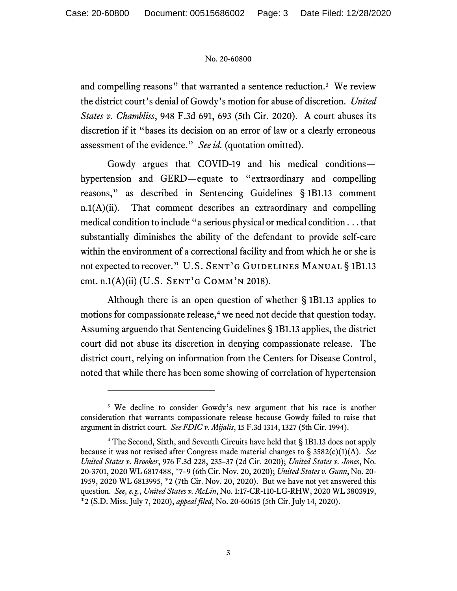## No. 20-60800

and compelling reasons" that warranted a sentence reduction.<sup>3</sup> We review the district court's denial of Gowdy's motion for abuse of discretion. *United States v. Chambliss*, 948 F.3d 691, 693 (5th Cir. 2020). A court abuses its discretion if it "bases its decision on an error of law or a clearly erroneous assessment of the evidence." *See id.* (quotation omitted).

Gowdy argues that COVID-19 and his medical conditions hypertension and GERD—equate to "extraordinary and compelling reasons," as described in Sentencing Guidelines § 1B1.13 comment n.1(A)(ii). That comment describes an extraordinary and compelling medical condition to include "a serious physical or medical condition . . . that substantially diminishes the ability of the defendant to provide self-care within the environment of a correctional facility and from which he or she is not expected to recover." U.S. SENT'G GUIDELINES MANUAL § 1B1.13 cmt. n.1 $(A)$ (ii) (U.S. SENT'G COMM'N 2018).

Although there is an open question of whether § 1B1.13 applies to motions for compassionate release,<sup>4</sup> we need not decide that question today. Assuming arguendo that Sentencing Guidelines § 1B1.13 applies, the district court did not abuse its discretion in denying compassionate release. The district court, relying on information from the Centers for Disease Control, noted that while there has been some showing of correlation of hypertension

<sup>&</sup>lt;sup>3</sup> We decline to consider Gowdy's new argument that his race is another consideration that warrants compassionate release because Gowdy failed to raise that argument in district court. *See FDIC v. Mijalis*, 15 F.3d 1314, 1327 (5th Cir. 1994).

<sup>4</sup> The Second, Sixth, and Seventh Circuits have held that § 1B1.13 does not apply because it was not revised after Congress made material changes to § 3582(c)(1)(A). *See United States v. Brooker*, 976 F.3d 228, 235–37 (2d Cir. 2020); *United States v. Jones*, No. 20-3701, 2020 WL 6817488, \*7–9 (6th Cir. Nov. 20, 2020); *United States v. Gunn*, No. 20- 1959, 2020 WL 6813995, \*2 (7th Cir. Nov. 20, 2020). But we have not yet answered this question. *See, e.g.*, *United States v. McLin*, No. 1:17-CR-110-LG-RHW, 2020 WL 3803919, \*2 (S.D. Miss. July 7, 2020), *appeal filed*, No. 20-60615 (5th Cir. July 14, 2020).